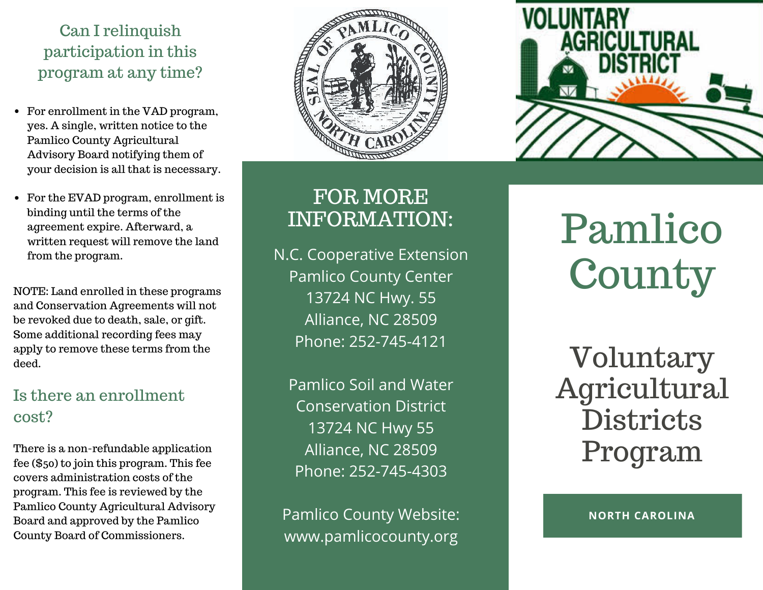## Can I relinquish participation in this program at any time?

- For enrollment in the VAD program, yes. A single, written notice to the Pamlico County Agricultural Advisory Board notifying them of your decision is all that is necessary.
- For the EVAD program, enrollment is binding until the terms of the agreement expire. Afterward, a written request will remove the land from the program.

NOTE: Land enrolled in these programs and Conservation Agreements will not be revoked due to death, sale, or gift. Some additional recording fees may apply to remove these terms from the deed.

## Is there an enrollment cost?

There is a non-refundable application fee (\$50) to join this program. This fee covers administration costs of the program. This fee is reviewed by the Pamlico County Agricultural Advisory Board and approved by the Pamlico County Board of Commissioners.





# FOR MORE INFORMATION:

N.C. Cooperative Extension Pamlico County Center 13724 NC Hwy. 55 Alliance, NC 28509 Phone: 252-745-4121

Pamlico Soil and Water Conservation District 13724 NC Hwy 55 Alliance, NC 28509 Phone: 252-745-4303

Pamlico County Website: www.pamlicocounty.org

Pamlico **County** 

Voluntary Agricultural **Districts** Program

**NORTH CAROLINA**